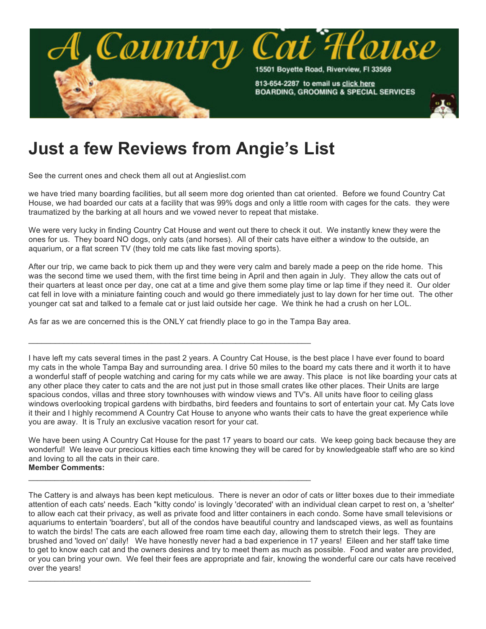

## **Just a few Reviews from Angie's List**

See the current ones and check them all out at Angieslist.com

we have tried many boarding facilities, but all seem more dog oriented than cat oriented. Before we found Country Cat House, we had boarded our cats at a facility that was 99% dogs and only a little room with cages for the cats. they were traumatized by the barking at all hours and we vowed never to repeat that mistake.

We were very lucky in finding Country Cat House and went out there to check it out. We instantly knew they were the ones for us. They board NO dogs, only cats (and horses). All of their cats have either a window to the outside, an aquarium, or a flat screen TV (they told me cats like fast moving sports).

After our trip, we came back to pick them up and they were very calm and barely made a peep on the ride home. This was the second time we used them, with the first time being in April and then again in July. They allow the cats out of their quarters at least once per day, one cat at a time and give them some play time or lap time if they need it. Our older cat fell in love with a miniature fainting couch and would go there immediately just to lay down for her time out. The other younger cat sat and talked to a female cat or just laid outside her cage. We think he had a crush on her LOL.

As far as we are concerned this is the ONLY cat friendly place to go in the Tampa Bay area.

\_\_\_\_\_\_\_\_\_\_\_\_\_\_\_\_\_\_\_\_\_\_\_\_\_\_\_\_\_\_\_\_\_\_\_\_\_\_\_\_\_\_\_\_\_\_\_\_\_\_\_\_\_\_\_\_\_\_\_\_\_\_\_\_

\_\_\_\_\_\_\_\_\_\_\_\_\_\_\_\_\_\_\_\_\_\_\_\_\_\_\_\_\_\_\_\_\_\_\_\_\_\_\_\_\_\_\_\_\_\_\_\_\_\_\_\_\_\_\_\_\_\_\_\_\_\_\_\_

\_\_\_\_\_\_\_\_\_\_\_\_\_\_\_\_\_\_\_\_\_\_\_\_\_\_\_\_\_\_\_\_\_\_\_\_\_\_\_\_\_\_\_\_\_\_\_\_\_\_\_\_\_\_\_\_\_\_\_\_\_\_\_\_

I have left my cats several times in the past 2 years. A Country Cat House, is the best place I have ever found to board my cats in the whole Tampa Bay and surrounding area. I drive 50 miles to the board my cats there and it worth it to have a wonderful staff of people watching and caring for my cats while we are away. This place is not like boarding your cats at any other place they cater to cats and the are not just put in those small crates like other places. Their Units are large spacious condos, villas and three story townhouses with window views and TV's. All units have floor to ceiling glass windows overlooking tropical gardens with birdbaths, bird feeders and fountains to sort of entertain your cat. My Cats love it their and I highly recommend A Country Cat House to anyone who wants their cats to have the great experience while you are away. It is Truly an exclusive vacation resort for your cat.

We have been using A Country Cat House for the past 17 years to board our cats. We keep going back because they are wonderful! We leave our precious kitties each time knowing they will be cared for by knowledgeable staff who are so kind and loving to all the cats in their care. **Member Comments:**

The Cattery is and always has been kept meticulous. There is never an odor of cats or litter boxes due to their immediate attention of each cats' needs. Each "kitty condo' is lovingly 'decorated' with an individual clean carpet to rest on, a 'shelter' to allow each cat their privacy, as well as private food and litter containers in each condo. Some have small televisions or aquariums to entertain 'boarders', but all of the condos have beautiful country and landscaped views, as well as fountains to watch the birds! The cats are each allowed free roam time each day, allowing them to stretch their legs. They are brushed and 'loved on' daily! We have honestly never had a bad experience in 17 years! Eileen and her staff take time to get to know each cat and the owners desires and try to meet them as much as possible. Food and water are provided, or you can bring your own. We feel their fees are appropriate and fair, knowing the wonderful care our cats have received over the years!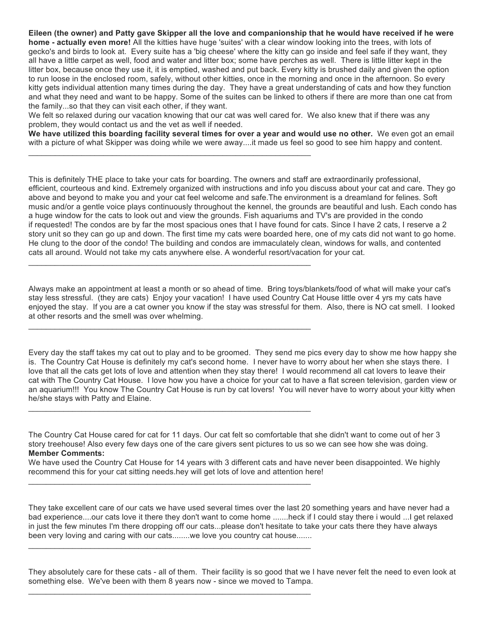**Eileen (the owner) and Patty gave Skipper all the love and companionship that he would have received if he were home - actually even more!** All the kitties have huge 'suites' with a clear window looking into the trees, with lots of gecko's and birds to look at. Every suite has a 'big cheese' where the kitty can go inside and feel safe if they want, they all have a little carpet as well, food and water and litter box; some have perches as well. There is little litter kept in the litter box, because once they use it, it is emptied, washed and put back. Every kitty is brushed daily and given the option to run loose in the enclosed room, safely, without other kitties, once in the morning and once in the afternoon. So every kitty gets individual attention many times during the day. They have a great understanding of cats and how they function and what they need and want to be happy. Some of the suites can be linked to others if there are more than one cat from the family...so that they can visit each other, if they want.

We felt so relaxed during our vacation knowing that our cat was well cared for. We also knew that if there was any problem, they would contact us and the vet as well if needed.

\_\_\_\_\_\_\_\_\_\_\_\_\_\_\_\_\_\_\_\_\_\_\_\_\_\_\_\_\_\_\_\_\_\_\_\_\_\_\_\_\_\_\_\_\_\_\_\_\_\_\_\_\_\_\_\_\_\_\_\_\_\_\_\_

\_\_\_\_\_\_\_\_\_\_\_\_\_\_\_\_\_\_\_\_\_\_\_\_\_\_\_\_\_\_\_\_\_\_\_\_\_\_\_\_\_\_\_\_\_\_\_\_\_\_\_\_\_\_\_\_\_\_\_\_\_\_\_\_

\_\_\_\_\_\_\_\_\_\_\_\_\_\_\_\_\_\_\_\_\_\_\_\_\_\_\_\_\_\_\_\_\_\_\_\_\_\_\_\_\_\_\_\_\_\_\_\_\_\_\_\_\_\_\_\_\_\_\_\_\_\_\_\_

 $\_$  , and the set of the set of the set of the set of the set of the set of the set of the set of the set of the set of the set of the set of the set of the set of the set of the set of the set of the set of the set of th

\_\_\_\_\_\_\_\_\_\_\_\_\_\_\_\_\_\_\_\_\_\_\_\_\_\_\_\_\_\_\_\_\_\_\_\_\_\_\_\_\_\_\_\_\_\_\_\_\_\_\_\_\_\_\_\_\_\_\_\_\_\_\_\_

\_\_\_\_\_\_\_\_\_\_\_\_\_\_\_\_\_\_\_\_\_\_\_\_\_\_\_\_\_\_\_\_\_\_\_\_\_\_\_\_\_\_\_\_\_\_\_\_\_\_\_\_\_\_\_\_\_\_\_\_\_\_\_\_

 $\Box$ 

**We have utilized this boarding facility several times for over a year and would use no other.** We even got an email with a picture of what Skipper was doing while we were away....it made us feel so good to see him happy and content.

This is definitely THE place to take your cats for boarding. The owners and staff are extraordinarily professional, efficient, courteous and kind. Extremely organized with instructions and info you discuss about your cat and care. They go above and beyond to make you and your cat feel welcome and safe.The environment is a dreamland for felines. Soft music and/or a gentle voice plays continuously throughout the kennel, the grounds are beautiful and lush. Each condo has a huge window for the cats to look out and view the grounds. Fish aquariums and TV's are provided in the condo if requested! The condos are by far the most spacious ones that I have found for cats. Since I have 2 cats, I reserve a 2 story unit so they can go up and down. The first time my cats were boarded here, one of my cats did not want to go home. He clung to the door of the condo! The building and condos are immaculately clean, windows for walls, and contented cats all around. Would not take my cats anywhere else. A wonderful resort/vacation for your cat.

Always make an appointment at least a month or so ahead of time. Bring toys/blankets/food of what will make your cat's stay less stressful. (they are cats) Enjoy your vacation! I have used Country Cat House little over 4 yrs my cats have enjoyed the stay. If you are a cat owner you know if the stay was stressful for them. Also, there is NO cat smell. I looked at other resorts and the smell was over whelming.

Every day the staff takes my cat out to play and to be groomed. They send me pics every day to show me how happy she is. The Country Cat House is definitely my cat's second home. I never have to worry about her when she stays there. I love that all the cats get lots of love and attention when they stay there! I would recommend all cat lovers to leave their cat with The Country Cat House. I love how you have a choice for your cat to have a flat screen television, garden view or an aquarium!!! You know The Country Cat House is run by cat lovers! You will never have to worry about your kitty when he/she stays with Patty and Elaine.

The Country Cat House cared for cat for 11 days. Our cat felt so comfortable that she didn't want to come out of her 3 story treehouse! Also every few days one of the care givers sent pictures to us so we can see how she was doing. **Member Comments:**

We have used the Country Cat House for 14 years with 3 different cats and have never been disappointed. We highly recommend this for your cat sitting needs.hey will get lots of love and attention here!

They take excellent care of our cats we have used several times over the last 20 something years and have never had a bad experience....our cats love it there they don't want to come home .......heck if I could stay there i would ...I get relaxed in just the few minutes I'm there dropping off our cats...please don't hesitate to take your cats there they have always been very loving and caring with our cats........we love you country cat house.......

They absolutely care for these cats - all of them. Their facility is so good that we I have never felt the need to even look at something else. We've been with them 8 years now - since we moved to Tampa.